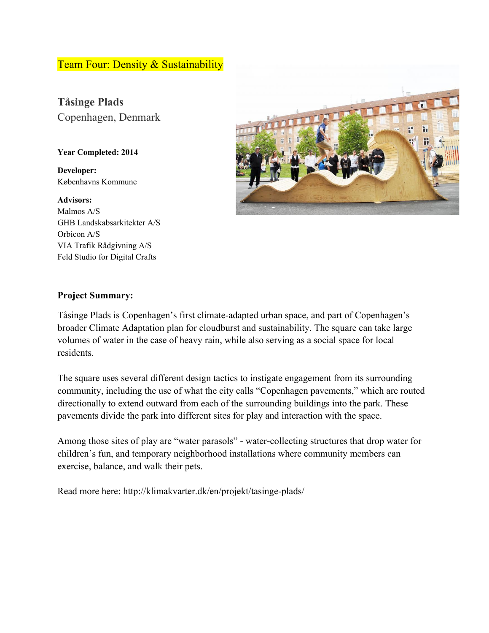## Team Four: Density & Sustainability

**Tåsinge Plads** Copenhagen, Denmark

#### **Year Completed: 2014**

**Developer:** Københavns Kommune

**Advisors:** Malmos A/S GHB Landskabsarkitekter A/S Orbicon A/S VIA Trafik Rådgivning A/S Feld Studio for Digital Crafts



#### **Project Summary:**

Tåsinge Plads is Copenhagen's first climate-adapted urban space, and part of Copenhagen's broader Climate Adaptation plan for cloudburst and sustainability. The square can take large volumes of water in the case of heavy rain, while also serving as a social space for local residents.

The square uses several different design tactics to instigate engagement from its surrounding community, including the use of what the city calls "Copenhagen pavements," which are routed directionally to extend outward from each of the surrounding buildings into the park. These pavements divide the park into different sites for play and interaction with the space.

Among those sites of play are "water parasols" - water-collecting structures that drop water for children's fun, and temporary neighborhood installations where community members can exercise, balance, and walk their pets.

Read more here: http://klimakvarter.dk/en/projekt/tasinge-plads/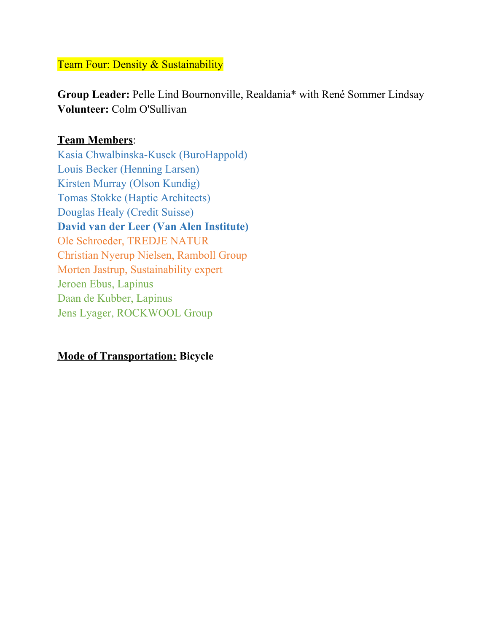Team Four: Density & Sustainability

**Group Leader:** Pelle Lind Bournonville, Realdania\* with René Sommer Lindsay **Volunteer:** Colm O'Sullivan

# **Team Members**:

Kasia Chwalbinska-Kusek (BuroHappold) Louis Becker (Henning Larsen) Kirsten Murray (Olson Kundig) Tomas Stokke (Haptic Architects) Douglas Healy (Credit Suisse) **David van der Leer (Van Alen Institute)** Ole Schroeder, TREDJE NATUR Christian Nyerup Nielsen, Ramboll Group Morten Jastrup, Sustainability expert Jeroen Ebus, Lapinus Daan de Kubber, Lapinus Jens Lyager, ROCKWOOL Group

## **Mode of Transportation: Bicycle**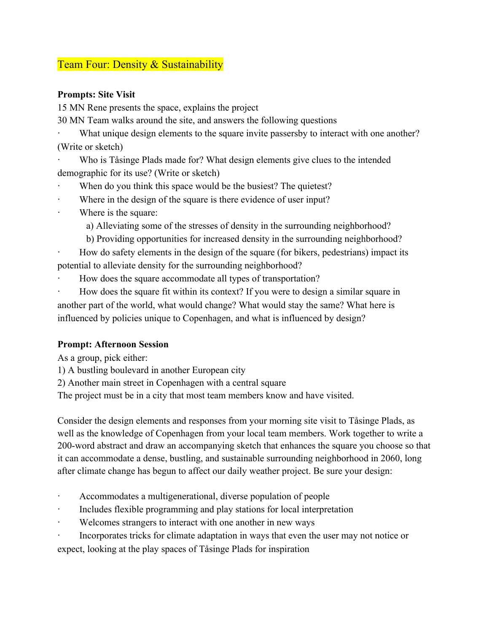# Team Four: Density & Sustainability

### **Prompts: Site Visit**

15 MN Rene presents the space, explains the project

30 MN Team walks around the site, and answers the following questions

What unique design elements to the square invite passersby to interact with one another? (Write or sketch)

Who is Tåsinge Plads made for? What design elements give clues to the intended demographic for its use? (Write or sketch)

- When do you think this space would be the busiest? The quietest?
- Where in the design of the square is there evidence of user input?
- Where is the square:

a) Alleviating some of the stresses of density in the surrounding neighborhood?

b) Providing opportunities for increased density in the surrounding neighborhood?

· How do safety elements in the design of the square (for bikers, pedestrians) impact its potential to alleviate density for the surrounding neighborhood?

· How does the square accommodate all types of transportation?

How does the square fit within its context? If you were to design a similar square in another part of the world, what would change? What would stay the same? What here is influenced by policies unique to Copenhagen, and what is influenced by design?

### **Prompt: Afternoon Session**

As a group, pick either:

1) A bustling boulevard in another European city

2) Another main street in Copenhagen with a central square

The project must be in a city that most team members know and have visited.

Consider the design elements and responses from your morning site visit to Tåsinge Plads, as well as the knowledge of Copenhagen from your local team members. Work together to write a 200-word abstract and draw an accompanying sketch that enhances the square you choose so that it can accommodate a dense, bustling, and sustainable surrounding neighborhood in 2060, long after climate change has begun to affect our daily weather project. Be sure your design:

- Accommodates a multigenerational, diverse population of people
- Includes flexible programming and play stations for local interpretation
- Welcomes strangers to interact with one another in new ways
- Incorporates tricks for climate adaptation in ways that even the user may not notice or

expect, looking at the play spaces of Tåsinge Plads for inspiration